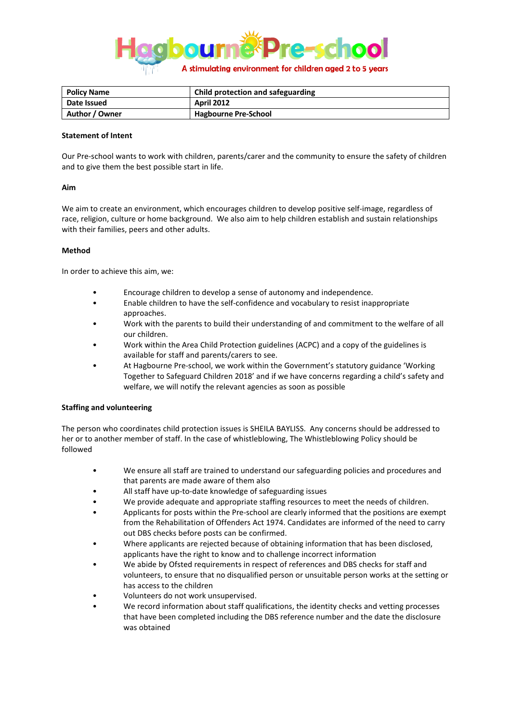

| <b>Policy Name</b> | Child protection and safeguarding |
|--------------------|-----------------------------------|
| Date Issued        | <b>April 2012</b>                 |
| Author / Owner     | <b>Hagbourne Pre-School</b>       |

### **Statement of Intent**

Our Pre-school wants to work with children, parents/carer and the community to ensure the safety of children and to give them the best possible start in life.

### **Aim**

We aim to create an environment, which encourages children to develop positive self-image, regardless of race, religion, culture or home background. We also aim to help children establish and sustain relationships with their families, peers and other adults.

### **Method**

In order to achieve this aim, we:

- Encourage children to develop a sense of autonomy and independence.
- Enable children to have the self-confidence and vocabulary to resist inappropriate approaches.
- Work with the parents to build their understanding of and commitment to the welfare of all our children.
- Work within the Area Child Protection guidelines (ACPC) and a copy of the guidelines is available for staff and parents/carers to see.
- At Hagbourne Pre-school, we work within the Government's statutory guidance 'Working Together to Safeguard Children 2018' and if we have concerns regarding a child's safety and welfare, we will notify the relevant agencies as soon as possible

## **Staffing and volunteering**

The person who coordinates child protection issues is SHEILA BAYLISS. Any concerns should be addressed to her or to another member of staff. In the case of whistleblowing, The Whistleblowing Policy should be followed

- We ensure all staff are trained to understand our safeguarding policies and procedures and that parents are made aware of them also
- All staff have up-to-date knowledge of safeguarding issues
- We provide adequate and appropriate staffing resources to meet the needs of children.
- Applicants for posts within the Pre-school are clearly informed that the positions are exempt from the Rehabilitation of Offenders Act 1974. Candidates are informed of the need to carry out DBS checks before posts can be confirmed.
- Where applicants are rejected because of obtaining information that has been disclosed, applicants have the right to know and to challenge incorrect information
- We abide by Ofsted requirements in respect of references and DBS checks for staff and volunteers, to ensure that no disqualified person or unsuitable person works at the setting or has access to the children
- Volunteers do not work unsupervised.
- We record information about staff qualifications, the identity checks and vetting processes that have been completed including the DBS reference number and the date the disclosure was obtained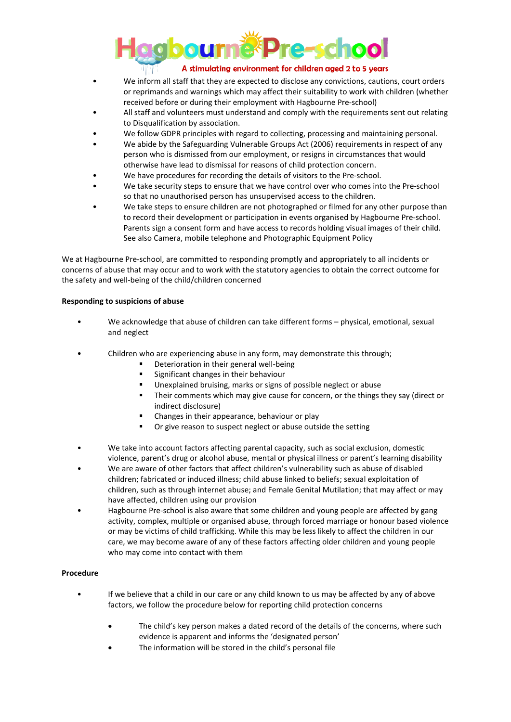

- We inform all staff that they are expected to disclose any convictions, cautions, court orders or reprimands and warnings which may affect their suitability to work with children (whether received before or during their employment with Hagbourne Pre-school)
- All staff and volunteers must understand and comply with the requirements sent out relating to Disqualification by association.
- We follow GDPR principles with regard to collecting, processing and maintaining personal.
- We abide by the Safeguarding Vulnerable Groups Act (2006) requirements in respect of any person who is dismissed from our employment, or resigns in circumstances that would otherwise have lead to dismissal for reasons of child protection concern.
- We have procedures for recording the details of visitors to the Pre-school.
- We take security steps to ensure that we have control over who comes into the Pre-school so that no unauthorised person has unsupervised access to the children.
- We take steps to ensure children are not photographed or filmed for any other purpose than to record their development or participation in events organised by Hagbourne Pre-school. Parents sign a consent form and have access to records holding visual images of their child. See also Camera, mobile telephone and Photographic Equipment Policy

We at Hagbourne Pre-school, are committed to responding promptly and appropriately to all incidents or concerns of abuse that may occur and to work with the statutory agencies to obtain the correct outcome for the safety and well-being of the child/children concerned

## **Responding to suspicions of abuse**

- We acknowledge that abuse of children can take different forms physical, emotional, sexual and neglect
- Children who are experiencing abuse in any form, may demonstrate this through;
	- Deterioration in their general well-being
	- **Significant changes in their behaviour**
	- Unexplained bruising, marks or signs of possible neglect or abuse
	- Their comments which may give cause for concern, or the things they say (direct or indirect disclosure)
	- Changes in their appearance, behaviour or play
	- Or give reason to suspect neglect or abuse outside the setting
- We take into account factors affecting parental capacity, such as social exclusion, domestic violence, parent's drug or alcohol abuse, mental or physical illness or parent's learning disability
- We are aware of other factors that affect children's vulnerability such as abuse of disabled children; fabricated or induced illness; child abuse linked to beliefs; sexual exploitation of children, such as through internet abuse; and Female Genital Mutilation; that may affect or may have affected, children using our provision
- Hagbourne Pre-school is also aware that some children and young people are affected by gang activity, complex, multiple or organised abuse, through forced marriage or honour based violence or may be victims of child trafficking. While this may be less likely to affect the children in our care, we may become aware of any of these factors affecting older children and young people who may come into contact with them

## **Procedure**

- If we believe that a child in our care or any child known to us may be affected by any of above factors, we follow the procedure below for reporting child protection concerns
	- The child's key person makes a dated record of the details of the concerns, where such evidence is apparent and informs the 'designated person'
	- The information will be stored in the child's personal file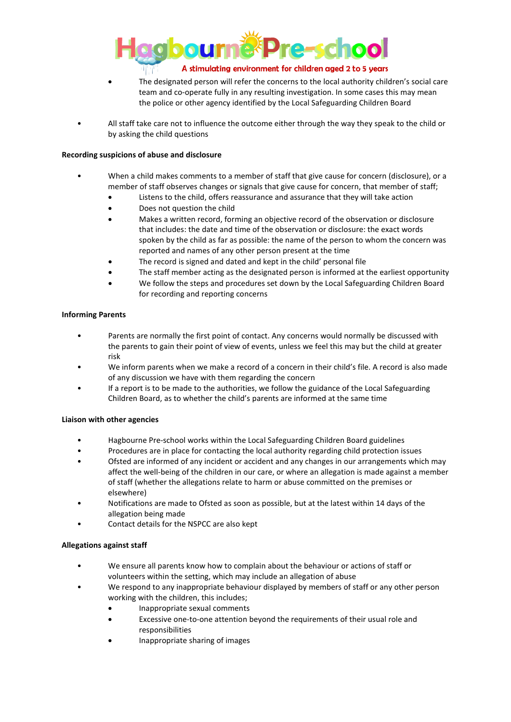

- The designated person will refer the concerns to the local authority children's social care team and co-operate fully in any resulting investigation. In some cases this may mean the police or other agency identified by the Local Safeguarding Children Board
- All staff take care not to influence the outcome either through the way they speak to the child or by asking the child questions

# **Recording suspicions of abuse and disclosure**

- When a child makes comments to a member of staff that give cause for concern (disclosure), or a member of staff observes changes or signals that give cause for concern, that member of staff;
	- Listens to the child, offers reassurance and assurance that they will take action
	- Does not question the child
	- Makes a written record, forming an objective record of the observation or disclosure that includes: the date and time of the observation or disclosure: the exact words spoken by the child as far as possible: the name of the person to whom the concern was reported and names of any other person present at the time
	- The record is signed and dated and kept in the child' personal file
	- The staff member acting as the designated person is informed at the earliest opportunity
	- We follow the steps and procedures set down by the Local Safeguarding Children Board for recording and reporting concerns

## **Informing Parents**

- Parents are normally the first point of contact. Any concerns would normally be discussed with the parents to gain their point of view of events, unless we feel this may but the child at greater risk
- We inform parents when we make a record of a concern in their child's file. A record is also made of any discussion we have with them regarding the concern
- If a report is to be made to the authorities, we follow the guidance of the Local Safeguarding Children Board, as to whether the child's parents are informed at the same time

## **Liaison with other agencies**

- Hagbourne Pre-school works within the Local Safeguarding Children Board guidelines
- Procedures are in place for contacting the local authority regarding child protection issues
- Ofsted are informed of any incident or accident and any changes in our arrangements which may affect the well-being of the children in our care, or where an allegation is made against a member of staff (whether the allegations relate to harm or abuse committed on the premises or elsewhere)
- Notifications are made to Ofsted as soon as possible, but at the latest within 14 days of the allegation being made
- Contact details for the NSPCC are also kept

# **Allegations against staff**

- We ensure all parents know how to complain about the behaviour or actions of staff or volunteers within the setting, which may include an allegation of abuse
- We respond to any inappropriate behaviour displayed by members of staff or any other person working with the children, this includes;
	- Inappropriate sexual comments
	- Excessive one-to-one attention beyond the requirements of their usual role and responsibilities
	- Inappropriate sharing of images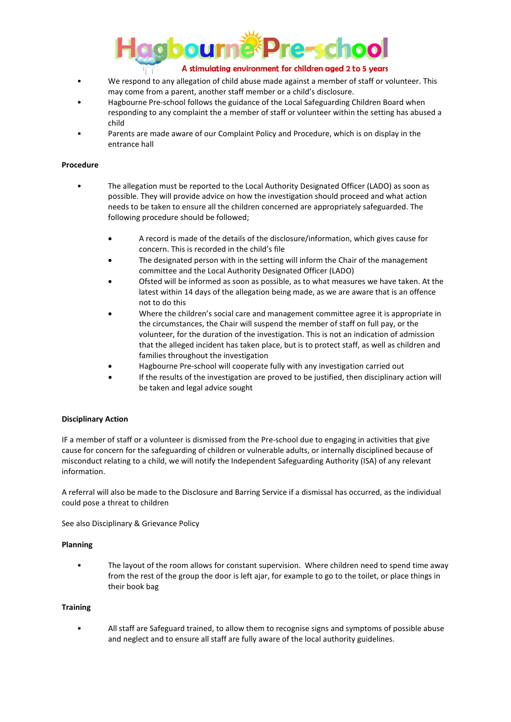

- We respond to any allegation of child abuse made against a member of staff or volunteer. This may come from a parent, another staff member or a child's disclosure.
- Hagbourne Pre-school follows the guidance of the Local Safeguarding Children Board when responding to any complaint the a member of staff or volunteer within the setting has abused a child
- Parents are made aware of our Complaint Policy and Procedure, which is on display in the entrance hall

### **Procedure**

- The allegation must be reported to the Local Authority Designated Officer (LADO) as soon as possible. They will provide advice on how the investigation should proceed and what action needs to be taken to ensure all the children concerned are appropriately safeguarded. The following procedure should be followed;
	- A record is made of the details of the disclosure/information, which gives cause for concern. This is recorded in the child's file
	- The designated person with in the setting will inform the Chair of the management committee and the Local Authority Designated Officer (LADO)
	- Ofsted will be informed as soon as possible, as to what measures we have taken. At the latest within 14 days of the allegation being made, as we are aware that is an offence not to do this
	- Where the children's social care and management committee agree it is appropriate in the circumstances, the Chair will suspend the member of staff on full pay, or the volunteer, for the duration of the investigation. This is not an indication of admission that the alleged incident has taken place, but is to protect staff, as well as children and families throughout the investigation
	- Hagbourne Pre-school will cooperate fully with any investigation carried out
	- If the results of the investigation are proved to be justified, then disciplinary action will be taken and legal advice sought

## **Disciplinary Action**

IF a member of staff or a volunteer is dismissed from the Pre-school due to engaging in activities that give cause for concern for the safeguarding of children or vulnerable adults, or internally disciplined because of misconduct relating to a child, we will notify the Independent Safeguarding Authority (ISA) of any relevant information.

A referral will also be made to the Disclosure and Barring Service if a dismissal has occurred, as the individual could pose a threat to children

See also Disciplinary & Grievance Policy

#### **Planning**

• The layout of the room allows for constant supervision. Where children need to spend time away from the rest of the group the door is left ajar, for example to go to the toilet, or place things in their book bag

#### **Training**

• All staff are Safeguard trained, to allow them to recognise signs and symptoms of possible abuse and neglect and to ensure all staff are fully aware of the local authority guidelines.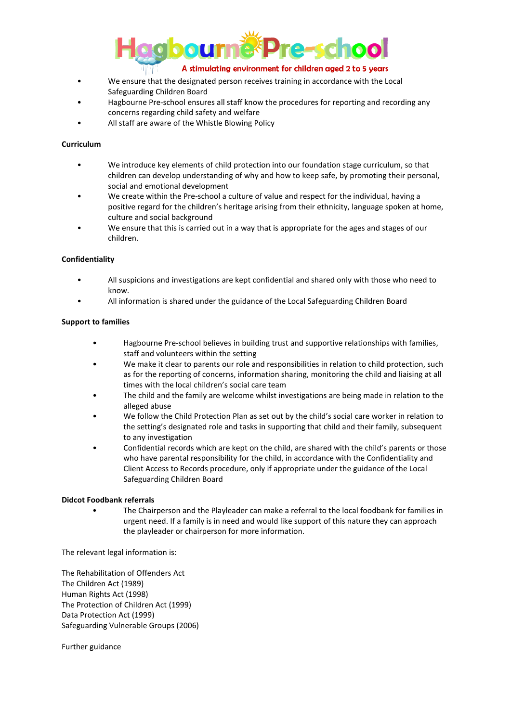

- We ensure that the designated person receives training in accordance with the Local Safeguarding Children Board
- Hagbourne Pre-school ensures all staff know the procedures for reporting and recording any concerns regarding child safety and welfare
- All staff are aware of the Whistle Blowing Policy

# **Curriculum**

- We introduce key elements of child protection into our foundation stage curriculum, so that children can develop understanding of why and how to keep safe, by promoting their personal, social and emotional development
- We create within the Pre-school a culture of value and respect for the individual, having a positive regard for the children's heritage arising from their ethnicity, language spoken at home, culture and social background
- We ensure that this is carried out in a way that is appropriate for the ages and stages of our children.

## **Confidentiality**

- All suspicions and investigations are kept confidential and shared only with those who need to know.
- All information is shared under the guidance of the Local Safeguarding Children Board

## **Support to families**

- Hagbourne Pre-school believes in building trust and supportive relationships with families, staff and volunteers within the setting
- We make it clear to parents our role and responsibilities in relation to child protection, such as for the reporting of concerns, information sharing, monitoring the child and liaising at all times with the local children's social care team
- The child and the family are welcome whilst investigations are being made in relation to the alleged abuse
- We follow the Child Protection Plan as set out by the child's social care worker in relation to the setting's designated role and tasks in supporting that child and their family, subsequent to any investigation
- Confidential records which are kept on the child, are shared with the child's parents or those who have parental responsibility for the child, in accordance with the Confidentiality and Client Access to Records procedure, only if appropriate under the guidance of the Local Safeguarding Children Board

## **Didcot Foodbank referrals**

• The Chairperson and the Playleader can make a referral to the local foodbank for families in urgent need. If a family is in need and would like support of this nature they can approach the playleader or chairperson for more information.

The relevant legal information is:

The Rehabilitation of Offenders Act The Children Act (1989) Human Rights Act (1998) The Protection of Children Act (1999) Data Protection Act (1999) Safeguarding Vulnerable Groups (2006)

Further guidance